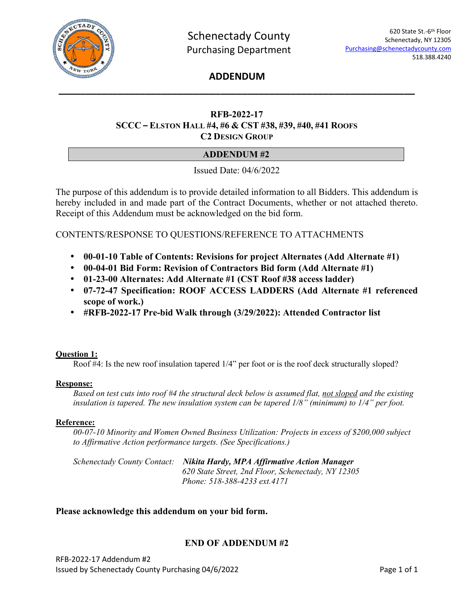

# **ADDENDUM \_\_\_\_\_\_\_\_\_\_\_\_\_\_\_\_\_\_\_\_\_\_\_\_\_\_\_\_\_\_\_\_\_\_\_\_\_\_\_\_\_\_\_\_\_\_\_\_\_\_\_\_\_\_\_\_\_\_\_\_\_\_\_\_\_\_**

# **RFB-2022-17 SCCC – ELSTON HALL #4, #6 & CST #38, #39, #40, #41 ROOFS C2 DESIGN GROUP**

# **ADDENDUM #2**

Issued Date: 04/6/2022

The purpose of this addendum is to provide detailed information to all Bidders. This addendum is hereby included in and made part of the Contract Documents, whether or not attached thereto. Receipt of this Addendum must be acknowledged on the bid form.

CONTENTS/RESPONSE TO QUESTIONS/REFERENCE TO ATTACHMENTS

- **00-01-10 Table of Contents: Revisions for project Alternates (Add Alternate #1)**
- **00-04-01 Bid Form: Revision of Contractors Bid form (Add Alternate #1)**
- **01-23-00 Alternates: Add Alternate #1 (CST Roof #38 access ladder)**
- **07-72-47 Specification: ROOF ACCESS LADDERS (Add Alternate #1 referenced scope of work.)**
- **#RFB-2022-17 Pre-bid Walk through (3/29/2022): Attended Contractor list**

# **Question 1:**

Roof #4: Is the new roof insulation tapered 1/4" per foot or is the roof deck structurally sloped?

# **Response:**

*Based on test cuts into roof #4 the structural deck below is assumed flat, not sloped and the existing insulation is tapered. The new insulation system can be tapered 1/8" (minimum) to 1/4" per foot.* 

# **Reference:**

*00-07-10 Minority and Women Owned Business Utilization: Projects in excess of \$200,000 subject to Affirmative Action performance targets. (See Specifications.)* 

| Schenectady County Contact: Nikita Hardy, MPA Affirmative Action Manager |  |  |
|--------------------------------------------------------------------------|--|--|
| 620 State Street, 2nd Floor, Schenectady, NY 12305                       |  |  |
| Phone: 518-388-4233 ext.4171                                             |  |  |

# **Please acknowledge this addendum on your bid form.**

# **END OF ADDENDUM #2**

RFB-2022-17 Addendum #2 Issued by Schenectady County Purchasing 04/6/2022 Page 1 of 1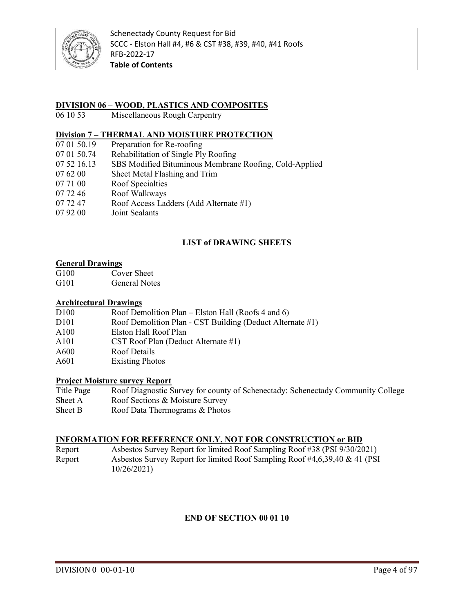

# **DIVISION 06 – WOOD, PLASTICS AND COMPOSITES**

06 10 53 Miscellaneous Rough Carpentry

# **Division 7 – THERMAL AND MOISTURE PROTECTION** 07 01 50.19 Preparation for Re-roofing

- Preparation for Re-roofing
- 07 01 50.74 Rehabilitation of Single Ply Roofing
- 07 52 16.13 SBS Modified Bituminous Membrane Roofing, Cold-Applied
- 07 62 00 Sheet Metal Flashing and Trim
- 07 71 00 Roof Specialties
- 07 72 46 Roof Walkways
- 07 72 47 Roof Access Ladders (Add Alternate #1)
- 07 92 00 Joint Sealants

# **LIST of DRAWING SHEETS**

# **General Drawings**<br> **G100** Cov

- Cover Sheet
- G101 General Notes

#### **Architectural Drawings**

| D <sub>100</sub>  | Roof Demolition Plan – Elston Hall (Roofs 4 and 6)        |
|-------------------|-----------------------------------------------------------|
| D <sub>10</sub> 1 | Roof Demolition Plan - CST Building (Deduct Alternate #1) |
| A100              | Elston Hall Roof Plan                                     |
| A101              | CST Roof Plan (Deduct Alternate #1)                       |
| A600              | Roof Details                                              |
| A601              | <b>Existing Photos</b>                                    |

# **Project Moisture survey Report**

Title Page Roof Diagnostic Survey for county of Schenectady: Schenectady Community College Sheet A Roof Sections & Moisture Survey Sheet B Roof Data Thermograms & Photos

#### **INFORMATION FOR REFERENCE ONLY, NOT FOR CONSTRUCTION or BID**

Report Asbestos Survey Report for limited Roof Sampling Roof #38 (PSI 9/30/2021) Report Asbestos Survey Report for limited Roof Sampling Roof #4,6,39,40 & 41 (PSI 10/26/2021)

# **END OF SECTION 00 01 10**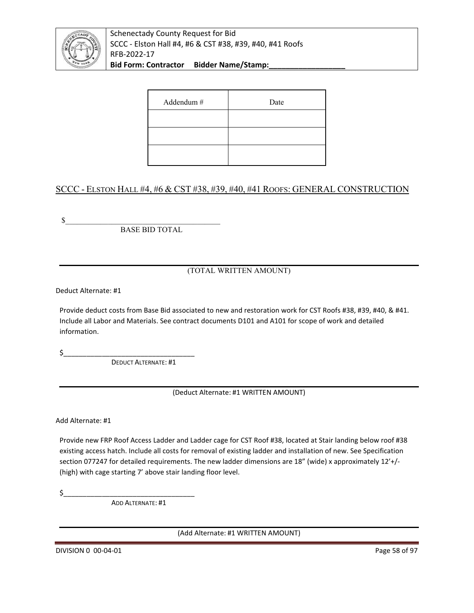

Schenectady County Request for Bid SCCC - Elston Hall #4, #6 & CST #38, #39, #40, #41 Roofs RFB-2022-17 Bid Form: Contractor Bidder Name/Stamp:

| Addendum # | Date |
|------------|------|
|            |      |
|            |      |
|            |      |

# SCCC - ELSTON HALL #4, #6 & CST #38, #39, #40, #41 ROOFS: GENERAL CONSTRUCTION

 $\frac{1}{2}$ 

BASE BID TOTAL

# (TOTAL WRITTEN AMOUNT)

Deduct Alternate: #1

Provide deduct costs from Base Bid associated to new and restoration work for CST Roofs #38, #39, #40, & #41. Include all Labor and Materials. See contract documents D101 and A101 for scope of work and detailed information.

 $\zeta$ 

DEDUCT ALTERNATE: #1

(Deduct Alternate: #1 WRITTEN AMOUNT)

Add Alternate: #1

Provide new FRP Roof Access Ladder and Ladder cage for CST Roof #38, located at Stair landing below roof #38 existing access hatch. Include all costs for removal of existing ladder and installation of new. See Specification section 077247 for detailed requirements. The new ladder dimensions are 18" (wide) x approximately 12'+/-(high) with cage starting 7' above stair landing floor level.

 $\sharp$ 

ADD ALTERNATE: #1

(Add Alternate: #1 WRITTEN AMOUNT)

DIVISION 0 00-04-01 Page 58 of 97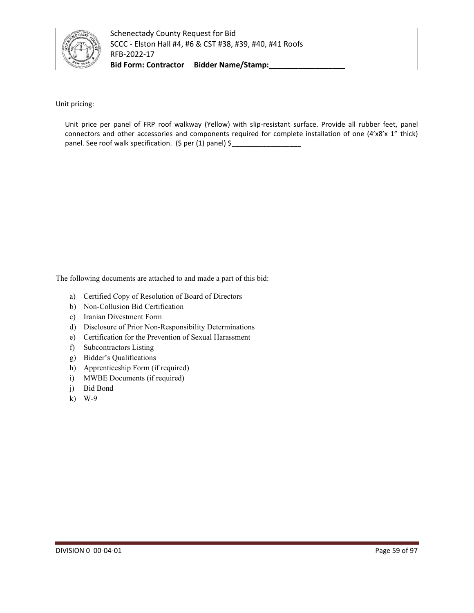

Unit pricing:

Unit price per panel of FRP roof walkway (Yellow) with slip-resistant surface. Provide all rubber feet, panel connectors and other accessories and components required for complete installation of one (4'x8'x 1" thick) panel. See roof walk specification. (\$ per (1) panel) \$

The following documents are attached to and made a part of this bid:

- a) Certified Copy of Resolution of Board of Directors
- b) Non-Collusion Bid Certification
- c) Iranian Divestment Form
- d) Disclosure of Prior Non-Responsibility Determinations
- e) Certification for the Prevention of Sexual Harassment
- f) Subcontractors Listing
- g) Bidder's Qualifications
- h) Apprenticeship Form (if required)
- i) MWBE Documents (if required)
- j) Bid Bond
- k) W-9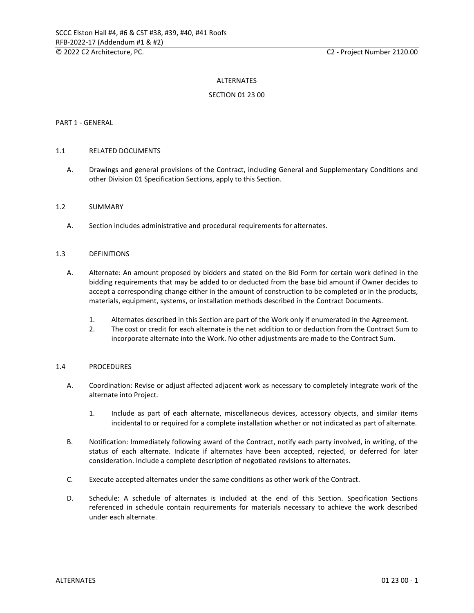#### ALTERNATES

#### SECTION 01 23 00

#### PART 1 - GENERAL

#### 1.1 RELATED DOCUMENTS

A. Drawings and general provisions of the Contract, including General and Supplementary Conditions and other Division 01 Specification Sections, apply to this Section.

#### 1.2 SUMMARY

A. Section includes administrative and procedural requirements for alternates.

#### 1.3 DEFINITIONS

- A. Alternate: An amount proposed by bidders and stated on the Bid Form for certain work defined in the bidding requirements that may be added to or deducted from the base bid amount if Owner decides to accept a corresponding change either in the amount of construction to be completed or in the products, materials, equipment, systems, or installation methods described in the Contract Documents.
	- 1. Alternates described in this Section are part of the Work only if enumerated in the Agreement.
	- 2. The cost or credit for each alternate is the net addition to or deduction from the Contract Sum to incorporate alternate into the Work. No other adjustments are made to the Contract Sum.

#### 1.4 PROCEDURES

- A. Coordination: Revise or adjust affected adjacent work as necessary to completely integrate work of the alternate into Project.
	- 1. Include as part of each alternate, miscellaneous devices, accessory objects, and similar items incidental to or required for a complete installation whether or not indicated as part of alternate.
- B. Notification: Immediately following award of the Contract, notify each party involved, in writing, of the status of each alternate. Indicate if alternates have been accepted, rejected, or deferred for later consideration. Include a complete description of negotiated revisions to alternates.
- C. Execute accepted alternates under the same conditions as other work of the Contract.
- D. Schedule: A schedule of alternates is included at the end of this Section. Specification Sections referenced in schedule contain requirements for materials necessary to achieve the work described under each alternate.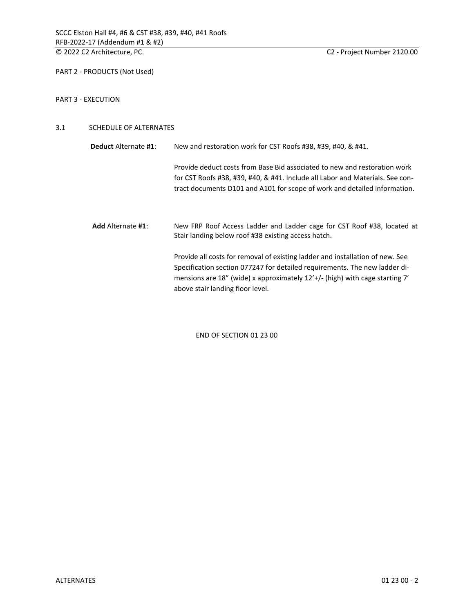PART 2 - PRODUCTS (Not Used)

#### PART 3 - EXECUTION

#### 3.1 SCHEDULE OF ALTERNATES

| <b>Deduct</b> Alternate #1: | New and restoration work for CST Roofs #38, #39, #40, & #41.                                                                                                                                                                                                                   |  |  |
|-----------------------------|--------------------------------------------------------------------------------------------------------------------------------------------------------------------------------------------------------------------------------------------------------------------------------|--|--|
|                             | Provide deduct costs from Base Bid associated to new and restoration work<br>for CST Roofs #38, #39, #40, & #41. Include all Labor and Materials. See con-<br>tract documents D101 and A101 for scope of work and detailed information.                                        |  |  |
| <b>Add</b> Alternate #1:    | New FRP Roof Access Ladder and Ladder cage for CST Roof #38, located at<br>Stair landing below roof #38 existing access hatch.                                                                                                                                                 |  |  |
|                             | Provide all costs for removal of existing ladder and installation of new. See<br>Specification section 077247 for detailed requirements. The new ladder di-<br>mensions are 18" (wide) x approximately $12'+$ (high) with cage starting 7'<br>above stair landing floor level. |  |  |

END OF SECTION 01 23 00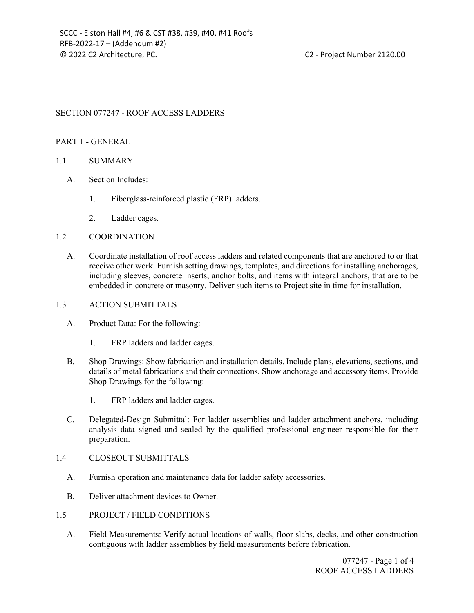# SECTION 077247 - ROOF ACCESS LADDERS

#### PART 1 - GENERAL

#### 1.1 SUMMARY

- A. Section Includes:
	- 1. Fiberglass-reinforced plastic (FRP) ladders.
	- 2. Ladder cages.

#### 1.2 COORDINATION

A. Coordinate installation of roof access ladders and related components that are anchored to or that receive other work. Furnish setting drawings, templates, and directions for installing anchorages, including sleeves, concrete inserts, anchor bolts, and items with integral anchors, that are to be embedded in concrete or masonry. Deliver such items to Project site in time for installation.

#### 1.3 ACTION SUBMITTALS

- A. Product Data: For the following:
	- 1. FRP ladders and ladder cages.
- B. Shop Drawings: Show fabrication and installation details. Include plans, elevations, sections, and details of metal fabrications and their connections. Show anchorage and accessory items. Provide Shop Drawings for the following:
	- 1. FRP ladders and ladder cages.
- C. Delegated-Design Submittal: For ladder assemblies and ladder attachment anchors, including analysis data signed and sealed by the qualified professional engineer responsible for their preparation.

#### 1.4 CLOSEOUT SUBMITTALS

- A. Furnish operation and maintenance data for ladder safety accessories.
- B. Deliver attachment devices to Owner.
- 1.5 PROJECT / FIELD CONDITIONS
	- A. Field Measurements: Verify actual locations of walls, floor slabs, decks, and other construction contiguous with ladder assemblies by field measurements before fabrication.

077247 - Page 1 of 4 ROOF ACCESS LADDERS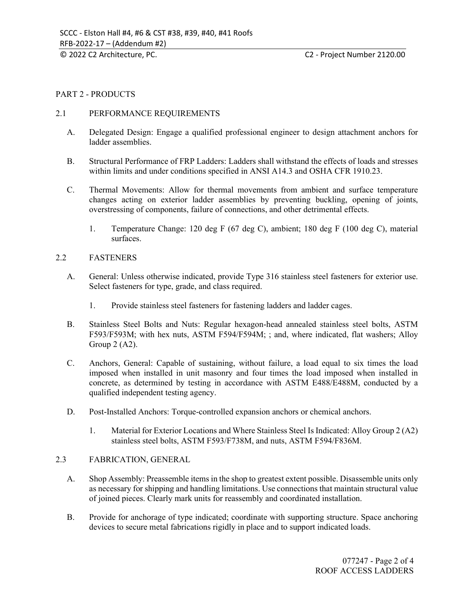#### © 2022 C2 Architecture, PC. C2 - Project Number 2120.00

### PART 2 - PRODUCTS

#### 2.1 PERFORMANCE REQUIREMENTS

- A. Delegated Design: Engage a qualified professional engineer to design attachment anchors for ladder assemblies.
- B. Structural Performance of FRP Ladders: Ladders shall withstand the effects of loads and stresses within limits and under conditions specified in ANSI A14.3 and OSHA CFR 1910.23.
- C. Thermal Movements: Allow for thermal movements from ambient and surface temperature changes acting on exterior ladder assemblies by preventing buckling, opening of joints, overstressing of components, failure of connections, and other detrimental effects.
	- 1. Temperature Change: 120 deg F (67 deg C), ambient; 180 deg F (100 deg C), material surfaces.

#### 2.2 FASTENERS

- A. General: Unless otherwise indicated, provide Type 316 stainless steel fasteners for exterior use. Select fasteners for type, grade, and class required.
	- 1. Provide stainless steel fasteners for fastening ladders and ladder cages.
- B. Stainless Steel Bolts and Nuts: Regular hexagon-head annealed stainless steel bolts, ASTM F593/F593M; with hex nuts, ASTM F594/F594M; ; and, where indicated, flat washers; Alloy Group 2 (A2).
- C. Anchors, General: Capable of sustaining, without failure, a load equal to six times the load imposed when installed in unit masonry and four times the load imposed when installed in concrete, as determined by testing in accordance with ASTM E488/E488M, conducted by a qualified independent testing agency.
- D. Post-Installed Anchors: Torque-controlled expansion anchors or chemical anchors.
	- 1. Material for Exterior Locations and Where Stainless Steel Is Indicated: Alloy Group 2 (A2) stainless steel bolts, ASTM F593/F738M, and nuts, ASTM F594/F836M.

### 2.3 FABRICATION, GENERAL

- A. Shop Assembly: Preassemble items in the shop to greatest extent possible. Disassemble units only as necessary for shipping and handling limitations. Use connections that maintain structural value of joined pieces. Clearly mark units for reassembly and coordinated installation.
- B. Provide for anchorage of type indicated; coordinate with supporting structure. Space anchoring devices to secure metal fabrications rigidly in place and to support indicated loads.

077247 - Page 2 of 4 ROOF ACCESS LADDERS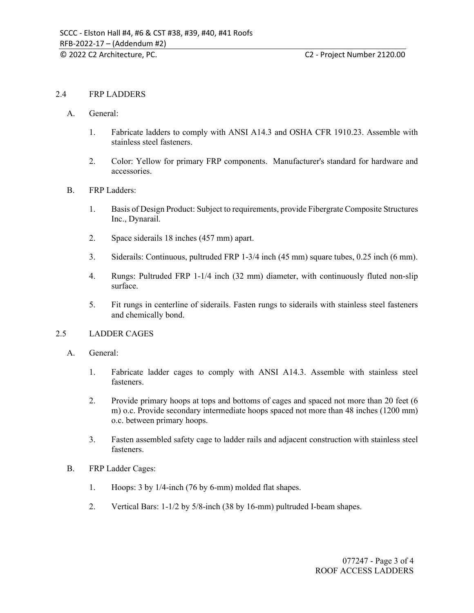#### © 2022 C2 Architecture, PC. C2 - Project Number 2120.00

# 2.4 FRP LADDERS

- A. General:
	- 1. Fabricate ladders to comply with ANSI A14.3 and OSHA CFR 1910.23. Assemble with stainless steel fasteners.
	- 2. Color: Yellow for primary FRP components. Manufacturer's standard for hardware and accessories.
- B. FRP Ladders:
	- 1. Basis of Design Product: Subject to requirements, provide Fibergrate Composite Structures Inc., Dynarail.
	- 2. Space siderails 18 inches (457 mm) apart.
	- 3. Siderails: Continuous, pultruded FRP 1-3/4 inch (45 mm) square tubes, 0.25 inch (6 mm).
	- 4. Rungs: Pultruded FRP 1-1/4 inch (32 mm) diameter, with continuously fluted non-slip surface.
	- 5. Fit rungs in centerline of siderails. Fasten rungs to siderails with stainless steel fasteners and chemically bond.

# 2.5 LADDER CAGES

- A. General:
	- 1. Fabricate ladder cages to comply with ANSI A14.3. Assemble with stainless steel fasteners.
	- 2. Provide primary hoops at tops and bottoms of cages and spaced not more than 20 feet (6 m) o.c. Provide secondary intermediate hoops spaced not more than 48 inches (1200 mm) o.c. between primary hoops.
	- 3. Fasten assembled safety cage to ladder rails and adjacent construction with stainless steel fasteners.
- B. FRP Ladder Cages:
	- 1. Hoops: 3 by 1/4-inch (76 by 6-mm) molded flat shapes.
	- 2. Vertical Bars: 1-1/2 by 5/8-inch (38 by 16-mm) pultruded I-beam shapes.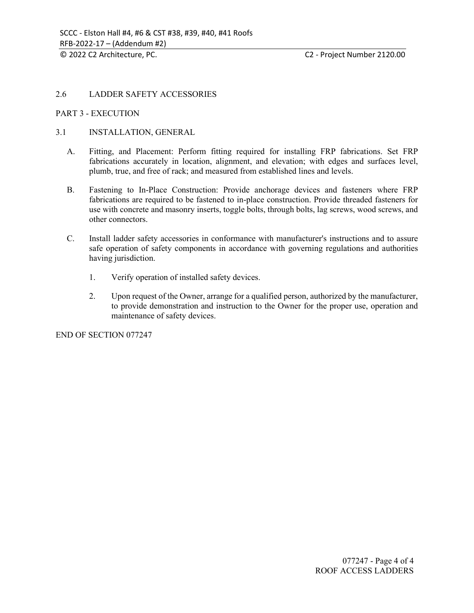#### © 2022 C2 Architecture, PC. C2 - Project Number 2120.00

# 2.6 LADDER SAFETY ACCESSORIES

#### PART 3 - EXECUTION

# 3.1 INSTALLATION, GENERAL

- A. Fitting, and Placement: Perform fitting required for installing FRP fabrications. Set FRP fabrications accurately in location, alignment, and elevation; with edges and surfaces level, plumb, true, and free of rack; and measured from established lines and levels.
- B. Fastening to In-Place Construction: Provide anchorage devices and fasteners where FRP fabrications are required to be fastened to in-place construction. Provide threaded fasteners for use with concrete and masonry inserts, toggle bolts, through bolts, lag screws, wood screws, and other connectors.
- C. Install ladder safety accessories in conformance with manufacturer's instructions and to assure safe operation of safety components in accordance with governing regulations and authorities having jurisdiction.
	- 1. Verify operation of installed safety devices.
	- 2. Upon request of the Owner, arrange for a qualified person, authorized by the manufacturer, to provide demonstration and instruction to the Owner for the proper use, operation and maintenance of safety devices.

END OF SECTION 077247